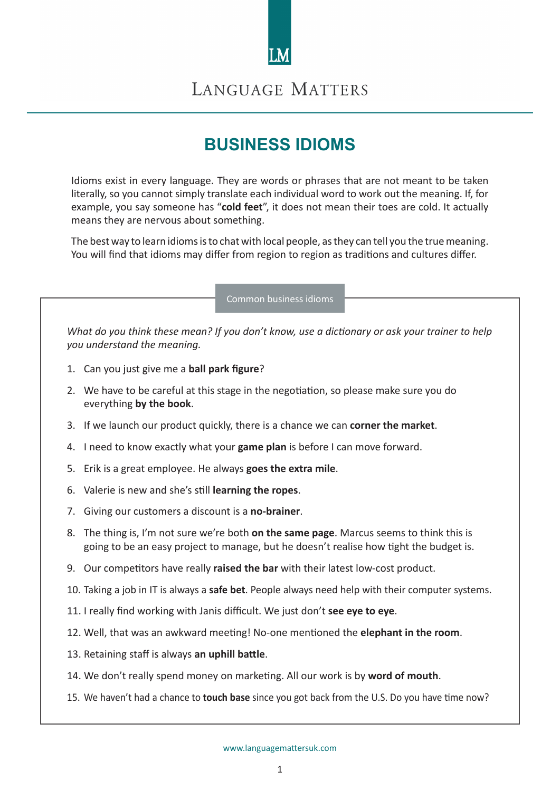

## LANGUAGE MATTERS

# **BUSINESS IDIOMS**

Idioms exist in every language. They are words or phrases that are not meant to be taken literally, so you cannot simply translate each individual word to work out the meaning. If, for example, you say someone has "**cold feet**", it does not mean their toes are cold. It actually means they are nervous about something.

The best way to learn idioms is to chat with local people, as they can tell you the true meaning. You will find that idioms may differ from region to region as traditions and cultures differ.

Common business idioms

*What do you think these mean? If you don't know, use a dictionary or ask your trainer to help you understand the meaning.*

- 1. Can you just give me a **ball park figure**?
- 2. We have to be careful at this stage in the negotiation, so please make sure you do everything **by the book**.
- 3. If we launch our product quickly, there is a chance we can **corner the market**.
- 4. I need to know exactly what your **game plan** is before I can move forward.
- 5. Erik is a great employee. He always **goes the extra mile**.
- 6. Valerie is new and she's still **learning the ropes**.
- 7. Giving our customers a discount is a **no-brainer**.
- 8. The thing is, I'm not sure we're both **on the same page**. Marcus seems to think this is going to be an easy project to manage, but he doesn't realise how tight the budget is.
- 9. Our competitors have really **raised the bar** with their latest low-cost product.
- 10. Taking a job in IT is always a **safe bet**. People always need help with their computer systems.
- 11. I really find working with Janis difficult. We just don't **see eye to eye**.
- 12. Well, that was an awkward meeting! No-one mentioned the **elephant in the room**.
- 13. Retaining staff is always **an uphill battle**.
- 14. We don't really spend money on marketing. All our work is by **word of mouth**.
- 15. We haven't had a chance to **touch base** since you got back from the U.S. Do you have time now?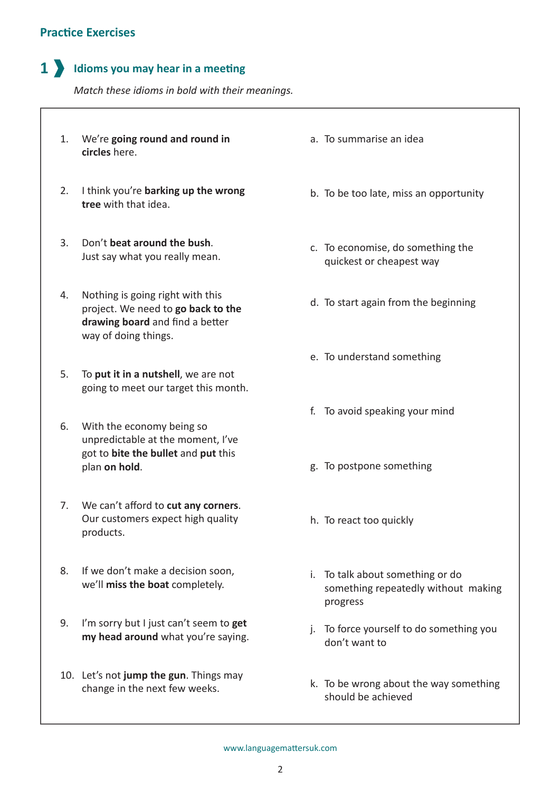### **Practice Exercises**

## **1 dioms you may hear in a meeting**

*Match these idioms in bold with their meanings.*

- **1.** We're going round and round in  $a$ . **circles** here.
- 2. I think you're **barking up the wrong** b. **tree** with that idea.
- 3. Don't **beat around the bush**. Just say what you really mean.
- 4. Nothing is going right with this<br>a project. We need to **co back to the** d. project. We need to **go back to the drawing board** and find a better way of doing things.
- 5. To put it in a nutshell, we are not going to meet our target this month.
- With the economy being so 6. unpredictable at the moment, I've got to **bite the bullet** and **put** this plan **on hold**.
- We can't afford to **cut any corners**. 7. Our customers expect high quality products.
- 8. If we don't make a decision soon, we'll **miss the boat** completely.
- I'm sorry but I just can't seem to **get**  9. **my head around** what you're saying.
- 10. Let's not jump the gun. Things may change in the next few weeks.
- To summarise an idea
- b. To be too late, miss an opportunity
- c. To economise, do something the quickest or cheapest way
- d. To start again from the beginning
- e. To understand something
- f. To avoid speaking your mind
- g. To postpone something
- h. To react too quickly
- i. To talk about something or do something repeatedly without making progress
- j. To force yourself to do something you don't want to
- k. To be wrong about the way something should be achieved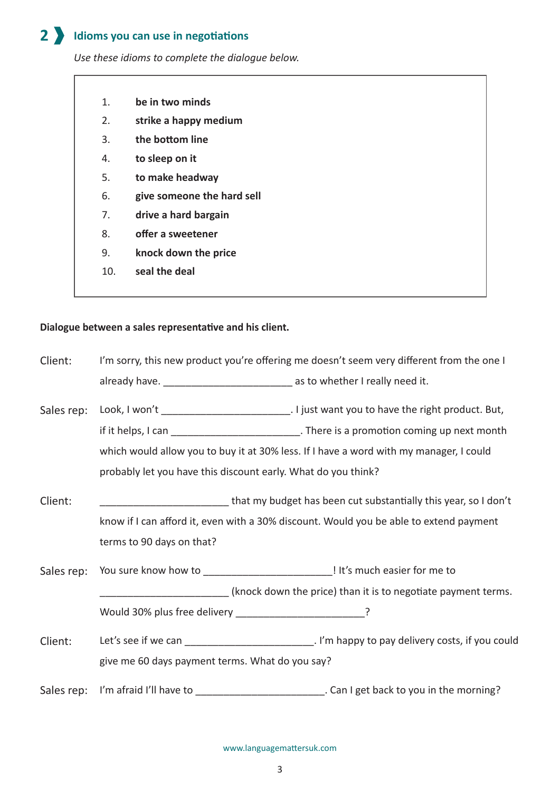#### **Idioms you can use in negotiations 2**

*Use these idioms to complete the dialogue below.*

- 1. **be in two minds**
- 2. **strike a happy medium**
- 3. **the bottom line**
- 4. **to sleep on it**
- 5. **to make headway**
- 6. **give someone the hard sell**
- 7. **drive a hard bargain**
- 8. **offer a sweetener**
- 9. **knock down the price**
- 10. **seal the deal**

### **Dialogue between a sales representative and his client.**

I'm sorry, this new product you're offering me doesn't seem very different from the one I already have. \_\_\_\_\_\_\_\_\_\_\_\_\_\_\_\_\_\_\_\_\_\_\_\_\_\_\_\_\_\_ as to whether I really need it. that my budget has been cut substantially this year, so I don't Sales rep: Look, I won't \_\_\_\_\_\_\_\_\_\_\_\_\_\_\_\_\_\_\_\_\_\_\_\_\_\_\_\_. I just want you to have the right product. But, if it helps, I can **interest in the state of the state of the state of the state of the state of the state of t** which would allow you to buy it at 30% less. If I have a word with my manager, I could probably let you have this discount early. What do you think? Client: Client:

know if I can afford it, even with a 30% discount. Would you be able to extend payment terms to 90 days on that?

You sure know how to \_\_\_\_\_\_\_\_\_\_\_\_\_\_\_\_\_\_\_\_\_\_\_\_\_\_\_\_\_\_\_! It's much easier for me to (knock down the price) than it is to negotiate payment terms. Would 30% plus free delivery \_\_\_\_\_\_\_\_\_\_\_\_\_\_\_\_\_\_\_\_\_\_\_\_\_? Sales rep:

Let's see if we can **Let's see if we can Let's see if we can Let's see if we can Let's** see if we can give me 60 days payment terms. What do you say? Client:

Sales rep: I'm afraid I'll have to \_\_\_\_\_\_\_\_\_\_\_\_\_\_\_\_\_\_\_\_\_\_\_\_\_\_\_. Can I get back to you in the morning?